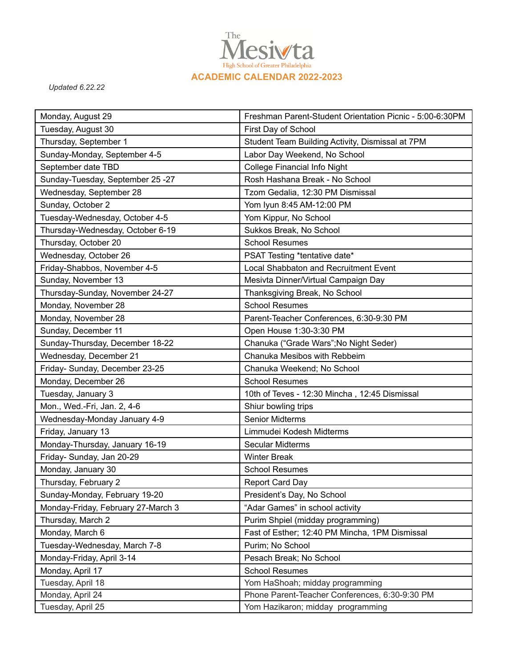

*Updated 6.22.22*

| Monday, August 29                  | Freshman Parent-Student Orientation Picnic - 5:00-6:30PM                            |
|------------------------------------|-------------------------------------------------------------------------------------|
| Tuesday, August 30                 | First Day of School                                                                 |
| Thursday, September 1              | Student Team Building Activity, Dismissal at 7PM                                    |
| Sunday-Monday, September 4-5       | Labor Day Weekend, No School                                                        |
| September date TBD                 | <b>College Financial Info Night</b>                                                 |
| Sunday-Tuesday, September 25 -27   | Rosh Hashana Break - No School                                                      |
| Wednesday, September 28            | Tzom Gedalia, 12:30 PM Dismissal                                                    |
| Sunday, October 2                  | Yom Iyun 8:45 AM-12:00 PM                                                           |
| Tuesday-Wednesday, October 4-5     | Yom Kippur, No School                                                               |
| Thursday-Wednesday, October 6-19   | Sukkos Break, No School                                                             |
| Thursday, October 20               | <b>School Resumes</b>                                                               |
| Wednesday, October 26              | PSAT Testing *tentative date*                                                       |
| Friday-Shabbos, November 4-5       | <b>Local Shabbaton and Recruitment Event</b>                                        |
| Sunday, November 13                | Mesivta Dinner/Virtual Campaign Day                                                 |
| Thursday-Sunday, November 24-27    | Thanksgiving Break, No School                                                       |
| Monday, November 28                | <b>School Resumes</b>                                                               |
| Monday, November 28                | Parent-Teacher Conferences, 6:30-9:30 PM                                            |
| Sunday, December 11                | Open House 1:30-3:30 PM                                                             |
| Sunday-Thursday, December 18-22    | Chanuka ("Grade Wars"; No Night Seder)                                              |
| Wednesday, December 21             | Chanuka Mesibos with Rebbeim                                                        |
| Friday- Sunday, December 23-25     | Chanuka Weekend; No School                                                          |
| Monday, December 26                | <b>School Resumes</b>                                                               |
| Tuesday, January 3                 | 10th of Teves - 12:30 Mincha, 12:45 Dismissal                                       |
| Mon., Wed.-Fri, Jan. 2, 4-6        | Shiur bowling trips                                                                 |
| Wednesday-Monday January 4-9       | <b>Senior Midterms</b>                                                              |
| Friday, January 13                 | Limmudei Kodesh Midterms                                                            |
| Monday-Thursday, January 16-19     | <b>Secular Midterms</b>                                                             |
| Friday- Sunday, Jan 20-29          | <b>Winter Break</b>                                                                 |
| Monday, January 30                 | <b>School Resumes</b>                                                               |
| Thursday, February 2               | <b>Report Card Day</b>                                                              |
| Sunday-Monday, February 19-20      | President's Day, No School                                                          |
| Monday-Friday, February 27-March 3 | "Adar Games" in school activity                                                     |
| Thursday, March 2                  | Purim Shpiel (midday programming)                                                   |
| Monday, March 6                    | Fast of Esther; 12:40 PM Mincha, 1PM Dismissal                                      |
| Tuesday-Wednesday, March 7-8       | Purim; No School                                                                    |
| Monday-Friday, April 3-14          | Pesach Break; No School                                                             |
| Monday, April 17                   | <b>School Resumes</b>                                                               |
| Tuesday, April 18                  | Yom HaShoah; midday programming                                                     |
| Monday, April 24                   |                                                                                     |
|                                    | Phone Parent-Teacher Conferences, 6:30-9:30 PM<br>Yom Hazikaron; midday programming |